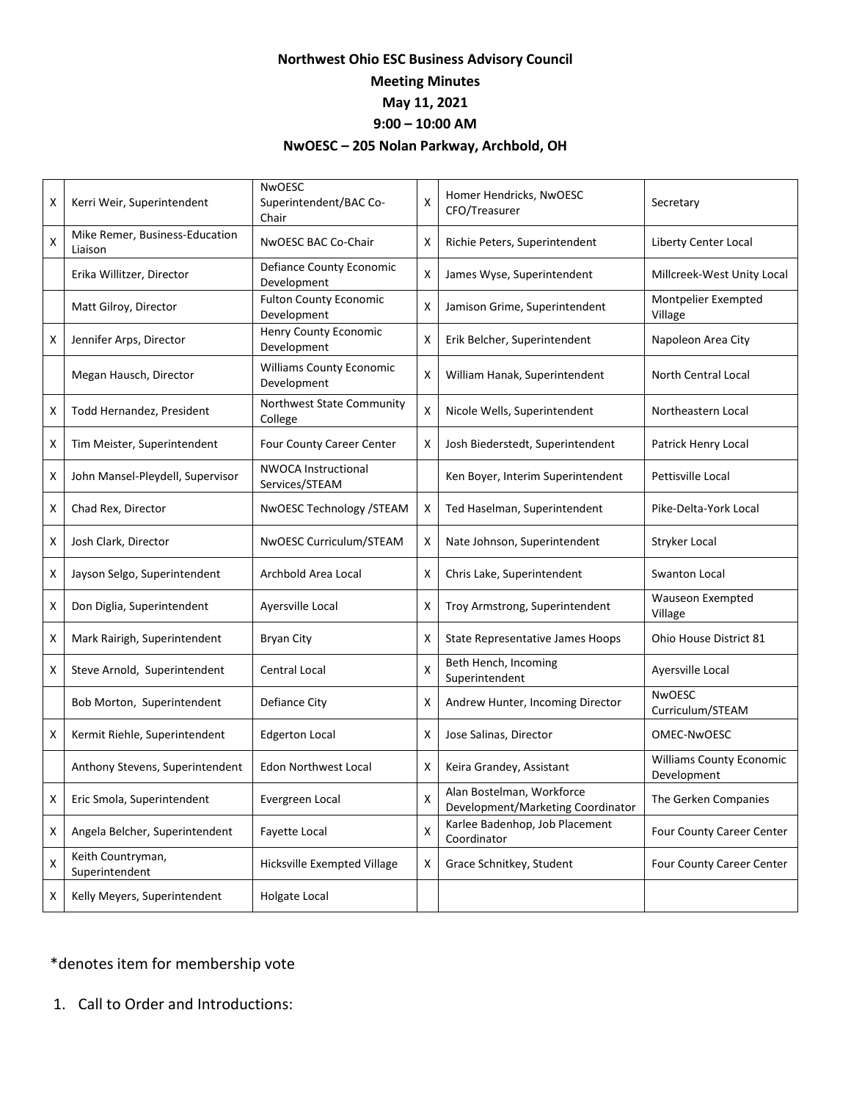## **Northwest Ohio ESC Business Advisory Council Meeting Minutes May 11, 2021 9:00 – 10:00 AM NwOESC – 205 Nolan Parkway, Archbold, OH**

| x | Kerri Weir, Superintendent                | <b>NwOESC</b><br>Superintendent/BAC Co-<br>Chair | X | Homer Hendricks, NwOESC<br>CFO/Treasurer                       | Secretary                                      |
|---|-------------------------------------------|--------------------------------------------------|---|----------------------------------------------------------------|------------------------------------------------|
| X | Mike Remer, Business-Education<br>Liaison | NwOESC BAC Co-Chair                              | X | Richie Peters, Superintendent                                  | Liberty Center Local                           |
|   | Erika Willitzer, Director                 | Defiance County Economic<br>Development          | X | James Wyse, Superintendent                                     | Millcreek-West Unity Local                     |
|   | Matt Gilroy, Director                     | <b>Fulton County Economic</b><br>Development     | x | Jamison Grime, Superintendent                                  | Montpelier Exempted<br>Village                 |
| x | Jennifer Arps, Director                   | Henry County Economic<br>Development             | X | Erik Belcher, Superintendent                                   | Napoleon Area City                             |
|   | Megan Hausch, Director                    | <b>Williams County Economic</b><br>Development   | X | William Hanak, Superintendent                                  | North Central Local                            |
| х | Todd Hernandez, President                 | Northwest State Community<br>College             | X | Nicole Wells, Superintendent                                   | Northeastern Local                             |
| x | Tim Meister, Superintendent               | Four County Career Center                        | X | Josh Biederstedt, Superintendent                               | Patrick Henry Local                            |
| x | John Mansel-Pleydell, Supervisor          | <b>NWOCA Instructional</b><br>Services/STEAM     |   | Ken Boyer, Interim Superintendent                              | Pettisville Local                              |
| X | Chad Rex, Director                        | NwOESC Technology / STEAM                        | X | Ted Haselman, Superintendent                                   | Pike-Delta-York Local                          |
| x | Josh Clark, Director                      | NwOESC Curriculum/STEAM                          | X | Nate Johnson, Superintendent                                   | Stryker Local                                  |
| x | Jayson Selgo, Superintendent              | Archbold Area Local                              | x | Chris Lake, Superintendent                                     | Swanton Local                                  |
| x | Don Diglia, Superintendent                | Ayersville Local                                 | x | Troy Armstrong, Superintendent                                 | Wauseon Exempted<br>Village                    |
| X | Mark Rairigh, Superintendent              | <b>Bryan City</b>                                | X | State Representative James Hoops                               | Ohio House District 81                         |
| Χ | Steve Arnold, Superintendent              | Central Local                                    | X | Beth Hench, Incoming<br>Superintendent                         | Ayersville Local                               |
|   | Bob Morton, Superintendent                | Defiance City                                    | X | Andrew Hunter, Incoming Director                               | <b>NwOESC</b><br>Curriculum/STEAM              |
| x | Kermit Riehle, Superintendent             | <b>Edgerton Local</b>                            | X | Jose Salinas, Director                                         | OMEC-NwOESC                                    |
|   | Anthony Stevens, Superintendent           | Edon Northwest Local                             | X | Keira Grandey, Assistant                                       | <b>Williams County Economic</b><br>Development |
| x | Eric Smola, Superintendent                | Evergreen Local                                  | X | Alan Bostelman, Workforce<br>Development/Marketing Coordinator | The Gerken Companies                           |
| X | Angela Belcher, Superintendent            | Fayette Local                                    | х | Karlee Badenhop, Job Placement<br>Coordinator                  | Four County Career Center                      |
| X | Keith Countryman,<br>Superintendent       | Hicksville Exempted Village                      | X | Grace Schnitkey, Student                                       | Four County Career Center                      |
| X | Kelly Meyers, Superintendent              | Holgate Local                                    |   |                                                                |                                                |

## \*denotes item for membership vote

1. Call to Order and Introductions: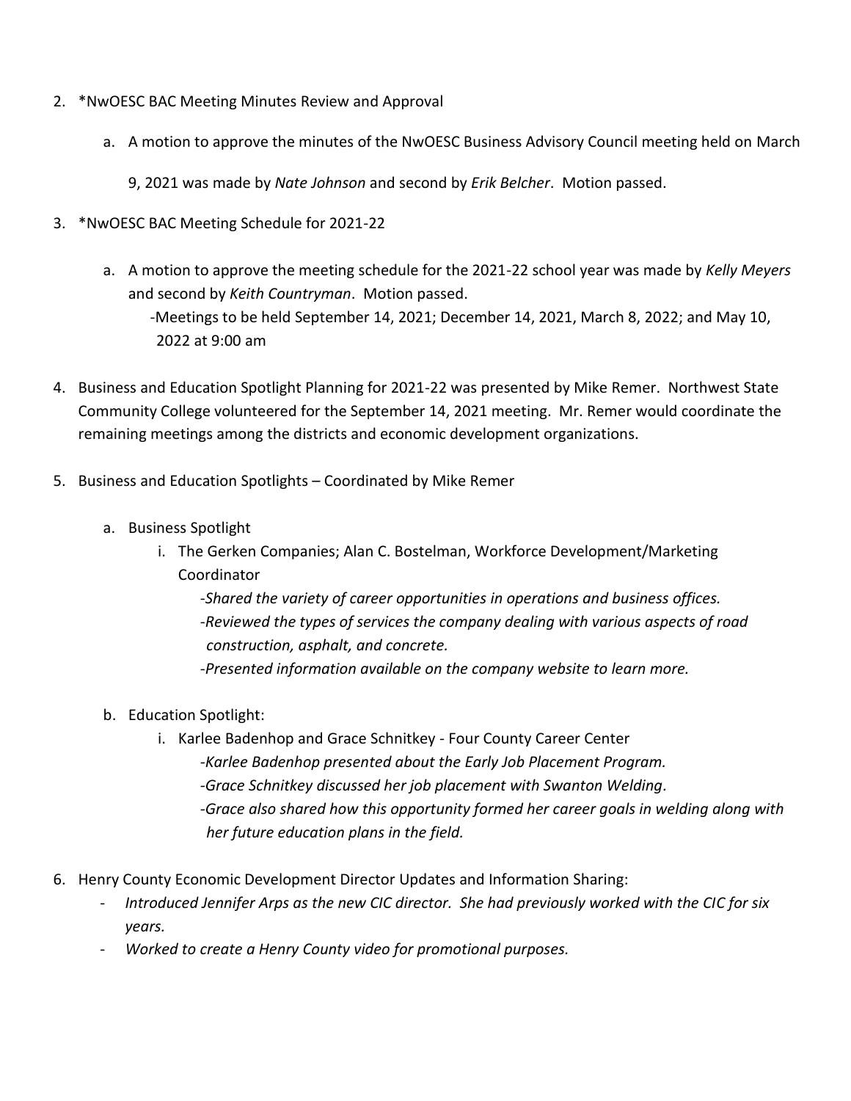- 2. \*NwOESC BAC Meeting Minutes Review and Approval
	- a. A motion to approve the minutes of the NwOESC Business Advisory Council meeting held on March
		- 9, 2021 was made by *Nate Johnson* and second by *Erik Belcher*. Motion passed.
- 3. \*NwOESC BAC Meeting Schedule for 2021-22
	- a. A motion to approve the meeting schedule for the 2021-22 school year was made by *Kelly Meyers*  and second by *Keith Countryman*. Motion passed. -Meetings to be held September 14, 2021; December 14, 2021, March 8, 2022; and May 10,

2022 at 9:00 am

- 4. Business and Education Spotlight Planning for 2021-22 was presented by Mike Remer. Northwest State Community College volunteered for the September 14, 2021 meeting. Mr. Remer would coordinate the remaining meetings among the districts and economic development organizations.
- 5. Business and Education Spotlights Coordinated by Mike Remer
	- a. Business Spotlight
		- i. The Gerken Companies; Alan C. Bostelman, Workforce Development/Marketing Coordinator

*-Shared the variety of career opportunities in operations and business offices. -Reviewed the types of services the company dealing with various aspects of road construction, asphalt, and concrete. -Presented information available on the company website to learn more.*

- b. Education Spotlight:
	- i. Karlee Badenhop and Grace Schnitkey Four County Career Center *-Karlee Badenhop presented about the Early Job Placement Program. -Grace Schnitkey discussed her job placement with Swanton Welding. -Grace also shared how this opportunity formed her career goals in welding along with her future education plans in the field.*
- 6. Henry County Economic Development Director Updates and Information Sharing:
	- *Introduced Jennifer Arps as the new CIC director. She had previously worked with the CIC for six years.*
	- *Worked to create a Henry County video for promotional purposes.*